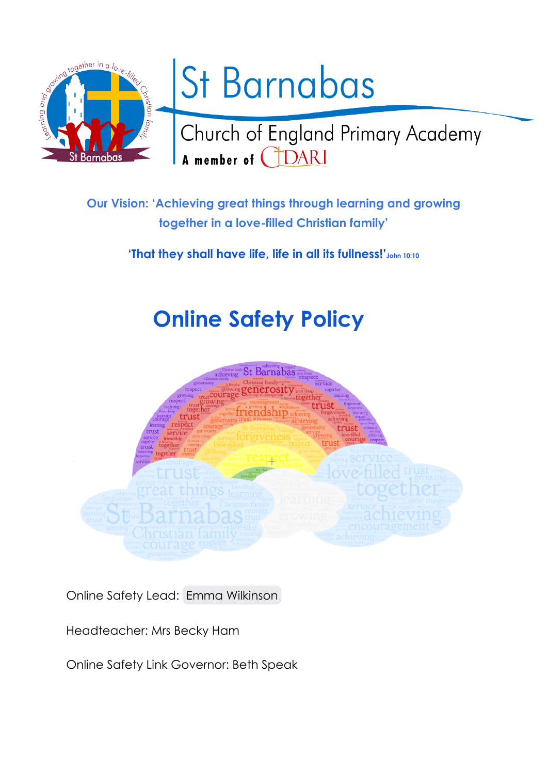

# St Barnabas

Church of England Primary Academy A member of **CLOARI** 

**Our Vision: 'Achieving great things through learning and growing together in a love-filled Christian family'**

**'That they shall have life, life in all its fullness!'John 10:10**

# **Online Safety Policy**



Online Safety Lead: Emma [Wilkinson](mailto:emma.wilkinson@cidari.co.uk)

Headteacher: Mrs Becky Ham

Online Safety Link Governor: Beth Speak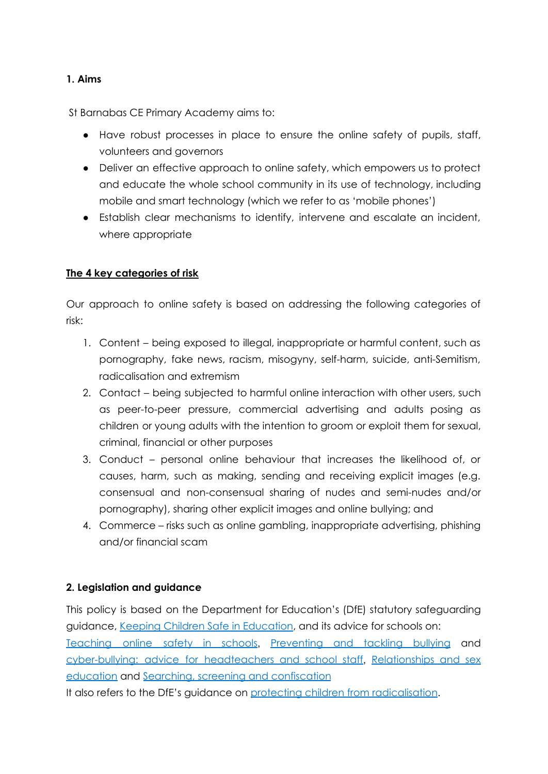#### **1. Aims**

St Barnabas CE Primary Academy aims to:

- Have robust processes in place to ensure the online safety of pupils, staff, volunteers and governors
- Deliver an effective approach to online safety, which empowers us to protect and educate the whole school community in its use of technology, including mobile and smart technology (which we refer to as 'mobile phones')
- Establish clear mechanisms to identify, intervene and escalate an incident, where appropriate

#### **The 4 key categories of risk**

Our approach to online safety is based on addressing the following categories of risk:

- 1. Content being exposed to illegal, inappropriate or harmful content, such as pornography, fake news, racism, misogyny, self-harm, suicide, anti-Semitism, radicalisation and extremism
- 2. Contact being subjected to harmful online interaction with other users, such as peer-to-peer pressure, commercial advertising and adults posing as children or young adults with the intention to groom or exploit them for sexual, criminal, financial or other purposes
- 3. Conduct personal online behaviour that increases the likelihood of, or causes, harm, such as making, sending and receiving explicit images (e.g. consensual and non-consensual sharing of nudes and semi-nudes and/or pornography), sharing other explicit images and online bullying; and
- 4. Commerce risks such as online gambling, inappropriate advertising, phishing and/or financial scam

# **2. Legislation and guidance**

This policy is based on the Department for Education's (DfE) statutory safeguarding guidance, Keeping Children Safe in [Education,](https://www.gov.uk/government/publications/keeping-children-safe-in-education--2) and its advice for schools on: [Teaching](https://www.gov.uk/government/publications/teaching-online-safety-in-schools) online safety in schools, [Preventing](https://www.gov.uk/government/publications/preventing-and-tackling-bullying) and tackling bullying an[d](https://www.gov.uk/government/publications/preventing-and-tackling-bullying) [cyber-bullying:](https://www.gov.uk/government/publications/preventing-and-tackling-bullying) advice for headteachers and school staff, [Relationships](https://www.gov.uk/government/publications/relationships-education-relationships-and-sex-education-rse-and-health-education) and sex [education](https://www.gov.uk/government/publications/relationships-education-relationships-and-sex-education-rse-and-health-education) and Searching, screening and [confiscation](https://www.gov.uk/government/publications/searching-screening-and-confiscation)

It also refers to the DfE's guidance on protecting children from [radicalisation](https://www.gov.uk/government/publications/protecting-children-from-radicalisation-the-prevent-duty).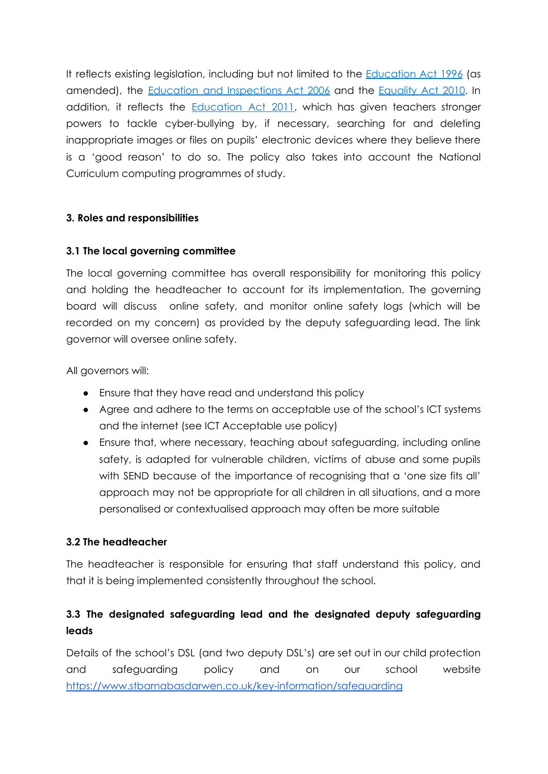It reflects existing legislation, including but not limited to the [Education](https://www.legislation.gov.uk/ukpga/1996/56/contents) Act 1996 (as amended), the Education and [Inspections](https://www.legislation.gov.uk/ukpga/2006/40/contents) Act 2006 and the [Equality](https://www.legislation.gov.uk/ukpga/2010/15/contents) Act 2010. In addition, it reflects the **[Education](http://www.legislation.gov.uk/ukpga/2011/21/contents/enacted) Act 2011**, which has given teachers stronger powers to tackle cyber-bullying by, if necessary, searching for and deleting inappropriate images or files on pupils' electronic devices where they believe there is a 'good reason' to do so. The policy also takes into account the National Curriculum computing programmes of study.

#### **3. Roles and responsibilities**

#### **3.1 The local governing committee**

The local governing committee has overall responsibility for monitoring this policy and holding the headteacher to account for its implementation. The governing board will discuss online safety, and monitor online safety logs (which will be recorded on my concern) as provided by the deputy safeguarding lead. The link governor will oversee online safety.

All governors will:

- Ensure that they have read and understand this policy
- Agree and adhere to the terms on acceptable use of the school's ICT systems and the internet (see ICT Acceptable use policy)
- Ensure that, where necessary, teaching about safeguarding, including online safety, is adapted for vulnerable children, victims of abuse and some pupils with SEND because of the importance of recognising that a 'one size fits all' approach may not be appropriate for all children in all situations, and a more personalised or contextualised approach may often be more suitable

# **3.2 The headteacher**

The headteacher is responsible for ensuring that staff understand this policy, and that it is being implemented consistently throughout the school.

# **3.3 The designated safeguarding lead and the designated deputy safeguarding leads**

Details of the school's DSL (and two deputy DSL's) are set out in our child protection and safeguarding policy and on our school website <https://www.stbarnabasdarwen.co.uk/key-information/safeguarding>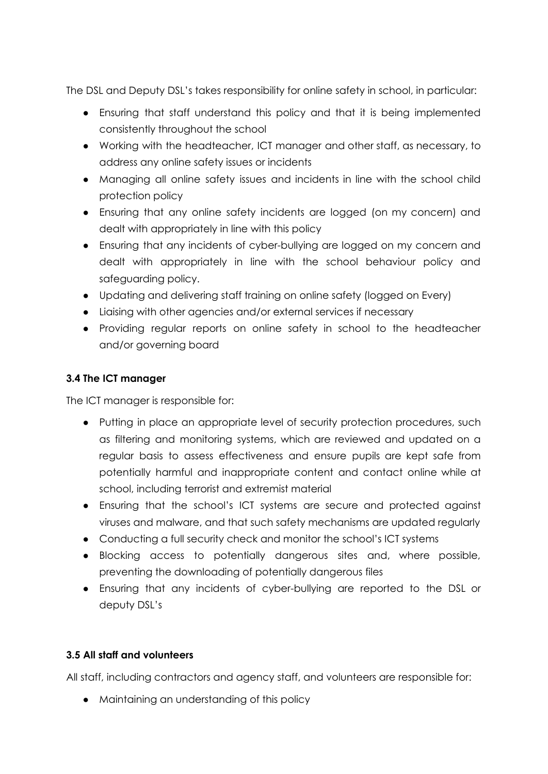The DSL and Deputy DSL's takes responsibility for online safety in school, in particular:

- Ensuring that staff understand this policy and that it is being implemented consistently throughout the school
- Working with the headteacher, ICT manager and other staff, as necessary, to address any online safety issues or incidents
- Managing all online safety issues and incidents in line with the school child protection policy
- Ensuring that any online safety incidents are logged (on my concern) and dealt with appropriately in line with this policy
- Ensuring that any incidents of cyber-bullying are logged on my concern and dealt with appropriately in line with the school behaviour policy and safeguarding policy.
- Updating and delivering staff training on online safety (logged on Every)
- Liaising with other agencies and/or external services if necessary
- Providing regular reports on online safety in school to the headteacher and/or governing board

# **3.4 The ICT manager**

The ICT manager is responsible for:

- Putting in place an appropriate level of security protection procedures, such as filtering and monitoring systems, which are reviewed and updated on a regular basis to assess effectiveness and ensure pupils are kept safe from potentially harmful and inappropriate content and contact online while at school, including terrorist and extremist material
- Ensuring that the school's ICT systems are secure and protected against viruses and malware, and that such safety mechanisms are updated regularly
- Conducting a full security check and monitor the school's ICT systems
- Blocking access to potentially dangerous sites and, where possible, preventing the downloading of potentially dangerous files
- Ensuring that any incidents of cyber-bullying are reported to the DSL or deputy DSL's

# **3.5 All staff and volunteers**

All staff, including contractors and agency staff, and volunteers are responsible for:

● Maintaining an understanding of this policy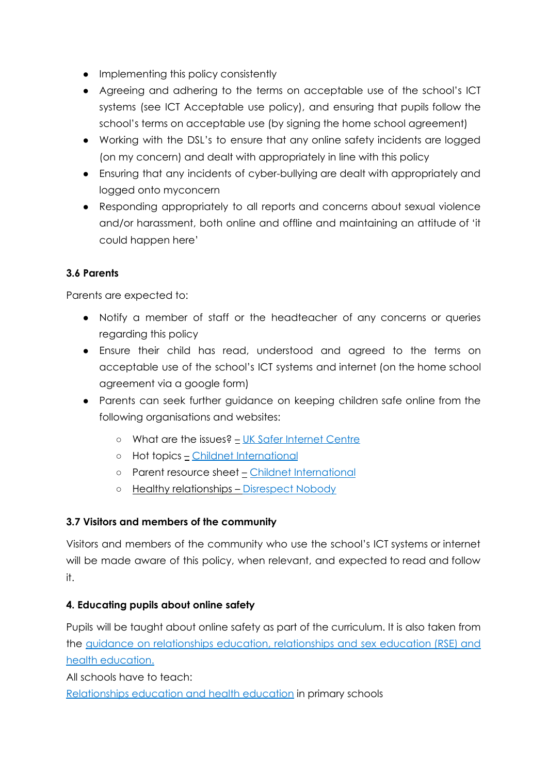- Implementing this policy consistently
- Agreeing and adhering to the terms on acceptable use of the school's ICT systems (see ICT Acceptable use policy), and ensuring that pupils follow the school's terms on acceptable use (by signing the home school agreement)
- Working with the DSL's to ensure that any online safety incidents are logged (on my concern) and dealt with appropriately in line with this policy
- Ensuring that any incidents of cyber-bullying are dealt with appropriately and logged onto myconcern
- Responding appropriately to all reports and concerns about sexual violence and/or harassment, both online and offline and maintaining an attitude of 'it could happen here'

# **3.6 Parents**

Parents are expected to:

- Notify a member of staff or the headteacher of any concerns or queries regarding this policy
- Ensure their child has read, understood and agreed to the terms on acceptable use of the school's ICT systems and internet (on the home school agreement via a google form)
- Parents can seek further guidance on keeping children safe online from the following organisations and websites:
	- What are the issues? UK Safer [Internet](https://www.saferinternet.org.uk/advice-centre/parents-and-carers/what-are-issues) Centre
	- Hot topics Childnet [International](http://www.childnet.com/parents-and-carers/hot-topics)
	- Parent resource sheet Childnet [International](https://www.childnet.com/resources/parents-and-carers-resource-sheet)
	- Healthy relationships [Disrespect](https://www.disrespectnobody.co.uk/) Nobody

# **3.7 Visitors and members of the community**

Visitors and members of the community who use the school's ICT systems or internet will be made aware of this policy, when relevant, and expected to read and follow it.

# **4. Educating pupils about online safety**

Pupils will be taught about online safety as part of the curriculum. It is also taken from the guidance on [relationships](https://www.gov.uk/government/publications/relationships-education-relationships-and-sex-education-rse-and-health-education) education, relationships and sex education (RSE) and health [education.](https://www.gov.uk/government/publications/relationships-education-relationships-and-sex-education-rse-and-health-education)

All schools have to teach:

[Relationships](https://schoolleaders.thekeysupport.com/uid/8b76f587-7bf6-4994-abf0-43850c6e8d73/) education and health education in primary schools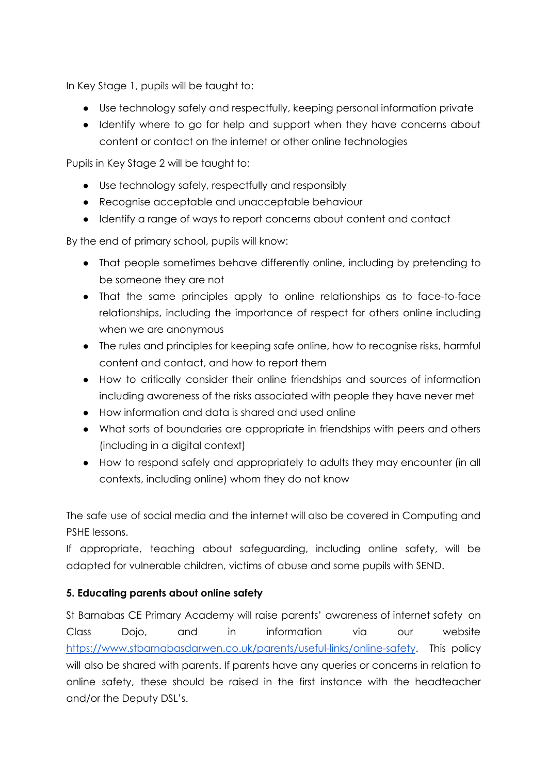In Key Stage 1, pupils will be taught to:

- Use technology safely and respectfully, keeping personal information private
- Identify where to go for help and support when they have concerns about content or contact on the internet or other online technologies

Pupils in Key Stage 2 will be taught to:

- Use technology safely, respectfully and responsibly
- Recognise acceptable and unacceptable behaviour
- Identify a range of ways to report concerns about content and contact

By the end of primary school, pupils will know:

- That people sometimes behave differently online, including by pretending to be someone they are not
- That the same principles apply to online relationships as to face-to-face relationships, including the importance of respect for others online including when we are anonymous
- The rules and principles for keeping safe online, how to recognise risks, harmful content and contact, and how to report them
- How to critically consider their online friendships and sources of information including awareness of the risks associated with people they have never met
- How information and data is shared and used online
- What sorts of boundaries are appropriate in friendships with peers and others (including in a digital context)
- How to respond safely and appropriately to adults they may encounter (in all contexts, including online) whom they do not know

The safe use of social media and the internet will also be covered in Computing and PSHE lessons.

If appropriate, teaching about safeguarding, including online safety, will be adapted for vulnerable children, victims of abuse and some pupils with SEND.

# **5. Educating parents about online safety**

St Barnabas CE Primary Academy will raise parents' awareness of internet safety on Class Dojo, and in information via our website <https://www.stbarnabasdarwen.co.uk/parents/useful-links/online-safety>. This policy will also be shared with parents. If parents have any queries or concerns in relation to online safety, these should be raised in the first instance with the headteacher and/or the Deputy DSL's.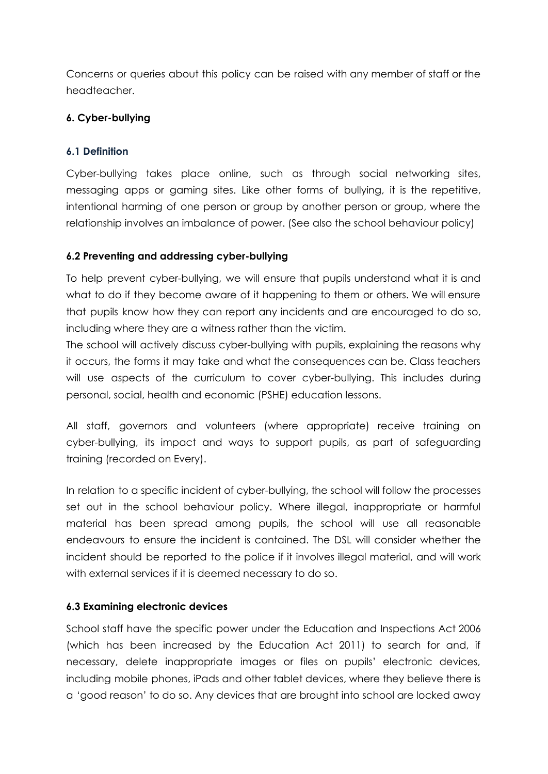Concerns or queries about this policy can be raised with any member of staff or the headteacher.

# **6. Cyber-bullying**

#### **6.1 Definition**

Cyber-bullying takes place online, such as through social networking sites, messaging apps or gaming sites. Like other forms of bullying, it is the repetitive, intentional harming of one person or group by another person or group, where the relationship involves an imbalance of power. (See also the school behaviour policy)

#### **6.2 Preventing and addressing cyber-bullying**

To help prevent cyber-bullying, we will ensure that pupils understand what it is and what to do if they become aware of it happening to them or others. We will ensure that pupils know how they can report any incidents and are encouraged to do so, including where they are a witness rather than the victim.

The school will actively discuss cyber-bullying with pupils, explaining the reasons why it occurs, the forms it may take and what the consequences can be. Class teachers will use aspects of the curriculum to cover cyber-bullying. This includes during personal, social, health and economic (PSHE) education lessons.

All staff, governors and volunteers (where appropriate) receive training on cyber-bullying, its impact and ways to support pupils, as part of safeguarding training (recorded on Every).

In relation to a specific incident of cyber-bullying, the school will follow the processes set out in the school behaviour policy. Where illegal, inappropriate or harmful material has been spread among pupils, the school will use all reasonable endeavours to ensure the incident is contained. The DSL will consider whether the incident should be reported to the police if it involves illegal material, and will work with external services if it is deemed necessary to do so.

#### **6.3 Examining electronic devices**

School staff have the specific power under the Education and Inspections Act 2006 (which has been increased by the Education Act 2011) to search for and, if necessary, delete inappropriate images or files on pupils' electronic devices, including mobile phones, iPads and other tablet devices, where they believe there is a 'good reason' to do so. Any devices that are brought into school are locked away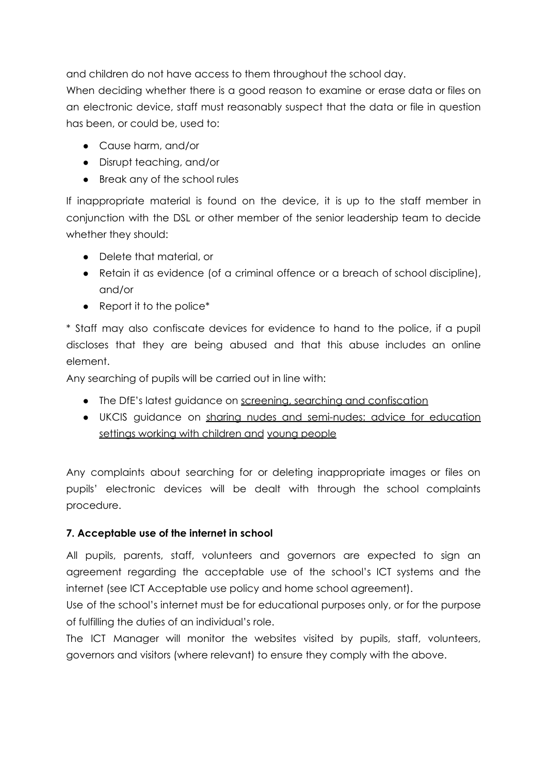and children do not have access to them throughout the school day.

When deciding whether there is a good reason to examine or erase data or files on an electronic device, staff must reasonably suspect that the data or file in question has been, or could be, used to:

- Cause harm, and/or
- Disrupt teaching, and/or
- Break any of the school rules

If inappropriate material is found on the device, it is up to the staff member in conjunction with the DSL or other member of the senior leadership team to decide whether they should:

- Delete that material, or
- Retain it as evidence (of a criminal offence or a breach of school discipline), and/or
- Report it to the police\*

\* Staff may also confiscate devices for evidence to hand to the police, if a pupil discloses that they are being abused and that this abuse includes an online element.

Any searching of pupils will be carried out in line with:

- The DfE's latest guidance on screening, searching and [confiscation](https://www.gov.uk/government/publications/searching-screening-and-confiscation)
- UKCIS guidance on sharing nudes and [semi-nudes:](https://www.gov.uk/government/publications/sharing-nudes-and-semi-nudes-advice-for-education-settings-working-with-children-and-young-people) advice for education settings working with [children](https://www.gov.uk/government/publications/sharing-nudes-and-semi-nudes-advice-for-education-settings-working-with-children-and-young-people) and young people

Any complaints about searching for or deleting inappropriate images or files on pupils' electronic devices will be dealt with through the school complaints procedure.

# **7. Acceptable use of the internet in school**

All pupils, parents, staff, volunteers and governors are expected to sign an agreement regarding the acceptable use of the school's ICT systems and the internet (see ICT Acceptable use policy and home school agreement).

Use of the school's internet must be for educational purposes only, or for the purpose of fulfilling the duties of an individual's role.

The ICT Manager will monitor the websites visited by pupils, staff, volunteers, governors and visitors (where relevant) to ensure they comply with the above.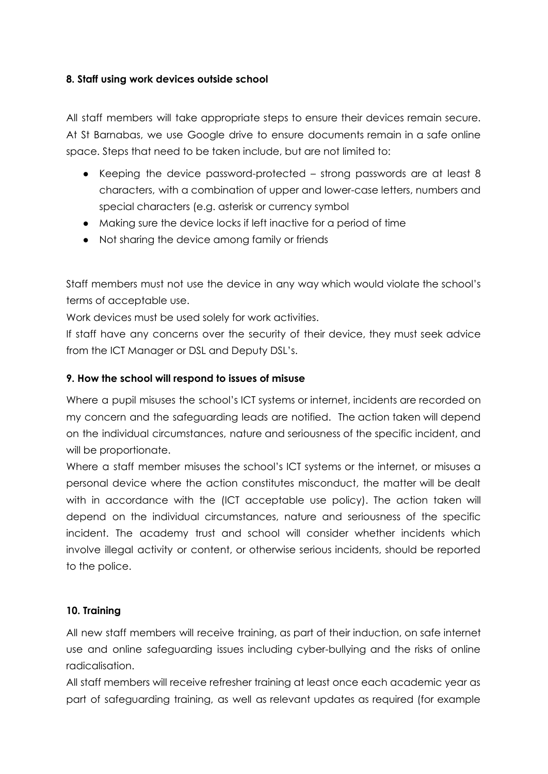#### **8. Staff using work devices outside school**

All staff members will take appropriate steps to ensure their devices remain secure. At St Barnabas, we use Google drive to ensure documents remain in a safe online space. Steps that need to be taken include, but are not limited to:

- Keeping the device password-protected strong passwords are at least 8 characters, with a combination of upper and lower-case letters, numbers and special characters (e.g. asterisk or currency symbol
- Making sure the device locks if left inactive for a period of time
- Not sharing the device among family or friends

Staff members must not use the device in any way which would violate the school's terms of acceptable use.

Work devices must be used solely for work activities.

If staff have any concerns over the security of their device, they must seek advice from the ICT Manager or DSL and Deputy DSL's.

# **9. How the school will respond to issues of misuse**

Where a pupil misuses the school's ICT systems or internet, incidents are recorded on my concern and the safeguarding leads are notified. The action taken will depend on the individual circumstances, nature and seriousness of the specific incident, and will be proportionate.

Where a staff member misuses the school's ICT systems or the internet, or misuses a personal device where the action constitutes misconduct, the matter will be dealt with in accordance with the (ICT acceptable use policy). The action taken will depend on the individual circumstances, nature and seriousness of the specific incident. The academy trust and school will consider whether incidents which involve illegal activity or content, or otherwise serious incidents, should be reported to the police.

#### **10. Training**

All new staff members will receive training, as part of their induction, on safe internet use and online safeguarding issues including cyber-bullying and the risks of online radicalisation.

All staff members will receive refresher training at least once each academic year as part of safeguarding training, as well as relevant updates as required (for example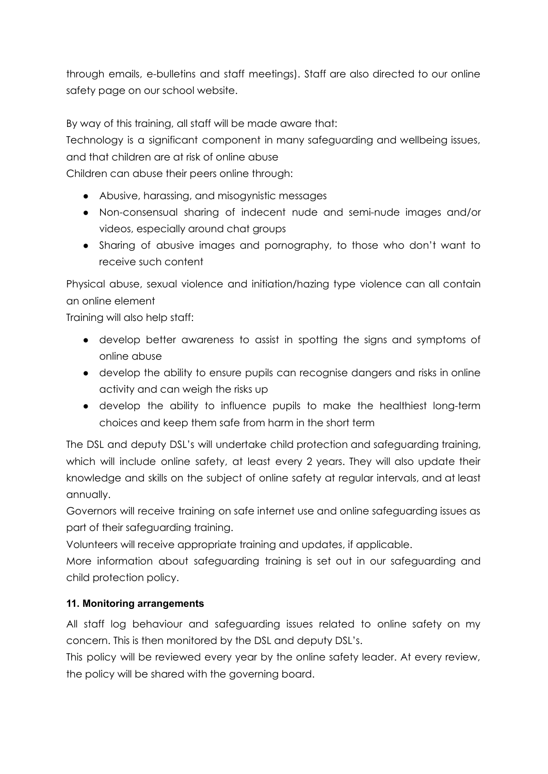through emails, e-bulletins and staff meetings). Staff are also directed to our online safety page on our school website.

By way of this training, all staff will be made aware that:

Technology is a significant component in many safeguarding and wellbeing issues, and that children are at risk of online abuse

Children can abuse their peers online through:

- Abusive, harassing, and misogynistic messages
- Non-consensual sharing of indecent nude and semi-nude images and/or videos, especially around chat groups
- Sharing of abusive images and pornography, to those who don't want to receive such content

Physical abuse, sexual violence and initiation/hazing type violence can all contain an online element

Training will also help staff:

- develop better awareness to assist in spotting the signs and symptoms of online abuse
- develop the ability to ensure pupils can recognise dangers and risks in online activity and can weigh the risks up
- develop the ability to influence pupils to make the healthiest long-term choices and keep them safe from harm in the short term

The DSL and deputy DSL's will undertake child protection and safeguarding training, which will include online safety, at least every 2 years. They will also update their knowledge and skills on the subject of online safety at regular intervals, and at least annually.

Governors will receive training on safe internet use and online safeguarding issues as part of their safeguarding training.

Volunteers will receive appropriate training and updates, if applicable.

More information about safeguarding training is set out in our safeguarding and child protection policy.

# **11. Monitoring arrangements**

All staff log behaviour and safeguarding issues related to online safety on my concern. This is then monitored by the DSL and deputy DSL's.

This policy will be reviewed every year by the online safety leader. At every review, the policy will be shared with the governing board.